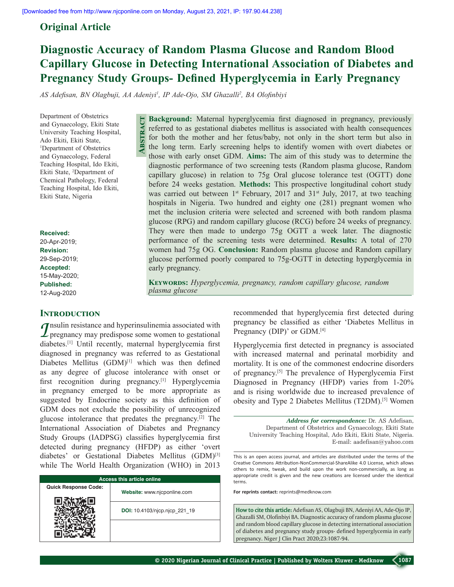## **Original Article**

# **Diagnostic Accuracy of Random Plasma Glucose and Random Blood Capillary Glucose in Detecting International Association of Diabetes and Pregnancy Study Groups‑ Defined Hyperglycemia in Early Pregnancy**

*AS Adefisan, BN Olagbuji, AA Adeniyi<sup>1</sup> , IP Ade‑Ojo, SM Ghazalli2 , BA Olofinbiyi*

**Abstract**

Department of Obstetrics and Gynaecology, Ekiti State University Teaching Hospital, Ado Ekiti, Ekiti State, 1 Department of Obstetrics and Gynaecology, Federal Teaching Hospital, Ido Ekiti, Ekiti State, 2 Department of Chemical Pathology, Federal Teaching Hospital, Ido Ekiti, Ekiti State, Nigeria

**Received:** 20-Apr-2019; **Revision:** 29-Sep-2019; **Accepted:** 15-May-2020; **Published:** 12-Aug-2020

## **INTRODUCTION**

*I*nsulin resistance and hyperinsulinemia associated with  $\mathcal L$  pregnancy may predispose some women to gestational diabetes.[1] Until recently, maternal hyperglycemia first diagnosed in pregnancy was referred to as Gestational Diabetes Mellitus (GDM)<sup>[1]</sup> which was then defined as any degree of glucose intolerance with onset or first recognition during pregnancy.<sup>[1]</sup> Hyperglycemia in pregnancy emerged to be more appropriate as suggested by Endocrine society as this definition of GDM does not exclude the possibility of unrecognized glucose intolerance that predates the pregnancy.[2] The International Association of Diabetes and Pregnancy Study Groups (IADPSG) classifies hyperglycemia first detected during pregnancy (HFDP) as either 'overt diabetes' or Gestational Diabetes Mellitus (GDM)[3] while The World Health Organization (WHO) in 2013

| <b>Access this article online</b> |                               |  |  |  |  |  |
|-----------------------------------|-------------------------------|--|--|--|--|--|
| <b>Quick Response Code:</b>       | Website: www.njcponline.com   |  |  |  |  |  |
|                                   | DOI: 10.4103/njcp.njcp 221 19 |  |  |  |  |  |
|                                   |                               |  |  |  |  |  |

**Background:** Maternal hyperglycemia first diagnosed in pregnancy, previously referred to as gestational diabetes mellitus is associated with health consequences for both the mother and her fetus/baby, not only in the short term but also in the long term. Early screening helps to identify women with overt diabetes or those with early onset GDM. **Aims:** The aim of this study was to determine the diagnostic performance of two screening tests (Random plasma glucose, Random capillary glucose) in relation to 75g Oral glucose tolerance test (OGTT) done before 24 weeks gestation. **Methods:** This prospective longitudinal cohort study was carried out between  $1^{st}$  February, 2017 and  $31^{st}$  July, 2017, at two teaching hospitals in Nigeria. Two hundred and eighty one (281) pregnant women who met the inclusion criteria were selected and screened with both random plasma glucose (RPG) and random capillary glucose (RCG) before 24 weeks of pregnancy. They were then made to undergo 75g OGTT a week later. The diagnostic performance of the screening tests were determined. **Results:** A total of 270 women had 75g OG. **Conclusion:** Random plasma glucose and Random capillary glucose performed poorly compared to 75g‑OGTT in detecting hyperglycemia in early pregnancy.

**Keywords:** *Hyperglycemia, pregnancy, random capillary glucose, random plasma glucose*

> recommended that hyperglycemia first detected during pregnancy be classified as either 'Diabetes Mellitus in Pregnancy (DIP)' or GDM.<sup>[4]</sup>

> Hyperglycemia first detected in pregnancy is associated with increased maternal and perinatal morbidity and mortality. It is one of the commonest endocrine disorders of pregnancy.[5] The prevalence of Hyperglycemia First Diagnosed in Pregnancy (HFDP) varies from 1-20% and is rising worldwide due to increased prevalence of obesity and Type 2 Diabetes Mellitus (T2DM).[5] Women

*Address for correspondence:* Dr. AS Adefisan, Department of Obstetrics and Gynaecology, Ekiti State University Teaching Hospital, Ado Ekiti, Ekiti State, Nigeria. E‑mail: aadefisan@yahoo.com

This is an open access journal, and articles are distributed under the terms of the Creative Commons Attribution‑NonCommercial‑ShareAlike 4.0 License, which allows others to remix, tweak, and build upon the work non‑commercially, as long as appropriate credit is given and the new creations are licensed under the identical terms.

**For reprints contact:** reprints@medknow.com

**How to cite this article:** Adefisan AS, Olagbuji BN, Adeniyi AA, Ade-Ojo IP, Ghazalli SM, Olofinbiyi BA. Diagnostic accuracy of random plasma glucose and random blood capillary glucose in detecting international association of diabetes and pregnancy study groups- defined hyperglycemia in early pregnancy. Niger J Clin Pract 2020;23:1087-94.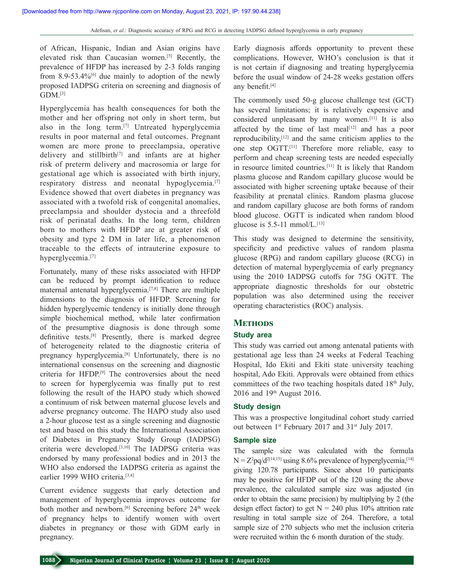of African, Hispanic, Indian and Asian origins have elevated risk than Caucasian women.<sup>[5]</sup> Recently, the prevalence of HFDP has increased by 2‑3 folds ranging from  $8.9 - 53.4\%$ <sup>[6]</sup> due mainly to adoption of the newly proposed IADPSG criteria on screening and diagnosis of  $GDM.$ <sup>[3]</sup>

Hyperglycemia has health consequences for both the mother and her offspring not only in short term, but also in the long term.<sup>[7]</sup> Untreated hyperglycemia results in poor maternal and fetal outcomes. Pregnant women are more prone to preeclampsia, operative delivery and stillbirth<sup>[7]</sup> and infants are at higher risk of preterm delivery and macrosomia or large for gestational age which is associated with birth injury, respiratory distress and neonatal hypoglycemia.<sup>[7]</sup> Evidence showed that overt diabetes in pregnancy was associated with a twofold risk of congenital anomalies, preeclampsia and shoulder dystocia and a threefold risk of perinatal deaths. In the long term, children born to mothers with HFDP are at greater risk of obesity and type 2 DM in later life, a phenomenon traceable to the effects of intrauterine exposure to hyperglycemia.<sup>[7]</sup>

Fortunately, many of these risks associated with HFDP can be reduced by prompt identification to reduce maternal antenatal hyperglycemia.[7,8] There are multiple dimensions to the diagnosis of HFDP. Screening for hidden hyperglycemic tendency is initially done through simple biochemical method, while later confirmation of the presumptive diagnosis is done through some definitive tests.[8] Presently, there is marked degree of heterogeneity related to the diagnostic criteria of pregnancy hyperglycemia.[8] Unfortunately, there is no international consensus on the screening and diagnostic criteria for HFDP.[9] The controversies about the need to screen for hyperglycemia was finally put to rest following the result of the HAPO study which showed a continuum of risk between maternal glucose levels and adverse pregnancy outcome. The HAPO study also used a 2‑hour glucose test as a single screening and diagnostic test and based on this study the International Association of Diabetes in Pregnancy Study Group (IADPSG) criteria were developed.[3,10] The IADPSG criteria was endorsed by many professional bodies and in 2013 the WHO also endorsed the IADPSG criteria as against the earlier 1999 WHO criteria.<sup>[3,4]</sup>

Current evidence suggests that early detection and management of hyperglycemia improves outcome for both mother and newborn.<sup>[6]</sup> Screening before  $24<sup>th</sup>$  week of pregnancy helps to identify women with overt diabetes in pregnancy or those with GDM early in pregnancy.

Early diagnosis affords opportunity to prevent these complications. However, WHO's conclusion is that it is not certain if diagnosing and treating hyperglycemia before the usual window of 24‑28 weeks gestation offers any benefit.<sup>[4]</sup>

The commonly used 50‑g glucose challenge test (GCT) has several limitations; it is relatively expensive and considered unpleasant by many women.[11] It is also affected by the time of last meal $[12]$  and has a poor reproducibility,[12] and the same criticism applies to the one step OGTT.[11] Therefore more reliable, easy to perform and cheap screening tests are needed especially in resource limited countries.[11] It is likely that Random plasma glucose and Random capillary glucose would be associated with higher screening uptake because of their feasibility at prenatal clinics. Random plasma glucose and random capillary glucose are both forms of random blood glucose. OGTT is indicated when random blood glucose is  $5.5$ -11 mmol/L.<sup>[13]</sup>

This study was designed to determine the sensitivity, specificity and predictive values of random plasma glucose (RPG) and random capillary glucose (RCG) in detection of maternal hyperglycemia of early pregnancy using the 2010 IADPSG cutoffs for 75G OGTT. The appropriate diagnostic thresholds for our obstetric population was also determined using the receiver operating characteristics (ROC) analysis.

### **METHODS**

#### **Study area**

This study was carried out among antenatal patients with gestational age less than 24 weeks at Federal Teaching Hospital, Ido Ekiti and Ekiti state university teaching hospital, Ado Ekiti. Approvals were obtained from ethics committees of the two teaching hospitals dated 18<sup>th</sup> July, 2016 and 19th August 2016.

#### **Study design**

This was a prospective longitudinal cohort study carried out between 1<sup>st</sup> February 2017 and 31<sup>st</sup> July 2017.

#### **Sample size**

The sample size was calculated with the formula  $N = Z^2 pq/d^{2[14,15]}$  using 8.6% prevalence of hyperglycemia,<sup>[14]</sup> giving 120.78 participants. Since about 10 participants may be positive for HFDP out of the 120 using the above prevalence, the calculated sample size was adjusted (in order to obtain the same precision) by multiplying by 2 (the design effect factor) to get  $N = 240$  plus 10% attrition rate resulting in total sample size of 264. Therefore, a total sample size of 270 subjects who met the inclusion criteria were recruited within the 6 month duration of the study.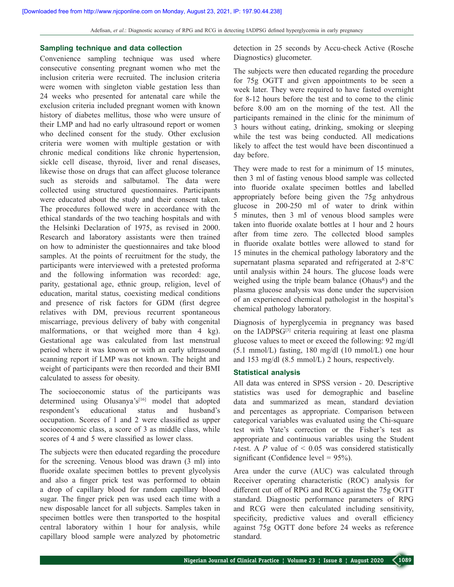#### **Sampling technique and data collection**

Convenience sampling technique was used where consecutive consenting pregnant women who met the inclusion criteria were recruited. The inclusion criteria were women with singleton viable gestation less than 24 weeks who presented for antenatal care while the exclusion criteria included pregnant women with known history of diabetes mellitus, those who were unsure of their LMP and had no early ultrasound report or women who declined consent for the study. Other exclusion criteria were women with multiple gestation or with chronic medical conditions like chronic hypertension, sickle cell disease, thyroid, liver and renal diseases, likewise those on drugs that can affect glucose tolerance such as steroids and salbutamol. The data were collected using structured questionnaires. Participants were educated about the study and their consent taken. The procedures followed were in accordance with the ethical standards of the two teaching hospitals and with the Helsinki Declaration of 1975, as revised in 2000. Research and laboratory assistants were then trained on how to administer the questionnaires and take blood samples. At the points of recruitment for the study, the participants were interviewed with a pretested proforma and the following information was recorded: age, parity, gestational age, ethnic group, religion, level of education, marital status, coexisting medical conditions and presence of risk factors for GDM (first degree relatives with DM, previous recurrent spontaneous miscarriage, previous delivery of baby with congenital malformations, or that weighed more than 4 kg). Gestational age was calculated from last menstrual period where it was known or with an early ultrasound scanning report if LMP was not known. The height and weight of participants were then recorded and their BMI calculated to assess for obesity.

The socioeconomic status of the participants was determined using Olusanya's<sup>[16]</sup> model that adopted respondent's educational status and husband's occupation. Scores of 1 and 2 were classified as upper socioeconomic class, a score of 3 as middle class, while scores of 4 and 5 were classified as lower class.

The subjects were then educated regarding the procedure for the screening. Venous blood was drawn (3 ml) into fluoride oxalate specimen bottles to prevent glycolysis and also a finger prick test was performed to obtain a drop of capillary blood for random capillary blood sugar. The finger prick pen was used each time with a new disposable lancet for all subjects. Samples taken in specimen bottles were then transported to the hospital central laboratory within 1 hour for analysis, while capillary blood sample were analyzed by photometric

detection in 25 seconds by Accu-check Active (Rosche Diagnostics) glucometer.

The subjects were then educated regarding the procedure for 75g OGTT and given appointments to be seen a week later. They were required to have fasted overnight for 8‑12 hours before the test and to come to the clinic before 8.00 am on the morning of the test. All the participants remained in the clinic for the minimum of 3 hours without eating, drinking, smoking or sleeping while the test was being conducted. All medications likely to affect the test would have been discontinued a day before.

They were made to rest for a minimum of 15 minutes, then 3 ml of fasting venous blood sample was collected into fluoride oxalate specimen bottles and labelled appropriately before being given the 75g anhydrous glucose in 200‑250 ml of water to drink within 5 minutes, then 3 ml of venous blood samples were taken into fluoride oxalate bottles at 1 hour and 2 hours after from time zero. The collected blood samples in fluoride oxalate bottles were allowed to stand for 15 minutes in the chemical pathology laboratory and the supernatant plasma separated and refrigerated at 2‑8°C until analysis within 24 hours. The glucose loads were weighed using the triple beam balance ( $Ohaus<sup>R</sup>$ ) and the plasma glucose analysis was done under the supervision of an experienced chemical pathologist in the hospital's chemical pathology laboratory.

Diagnosis of hyperglycemia in pregnancy was based on the IADPSG[3] criteria requiring at least one plasma glucose values to meet or exceed the following: 92 mg/dl (5.1 mmol/L) fasting, 180 mg/dl (10 mmol/L) one hour and 153 mg/dl (8.5 mmol/L) 2 hours, respectively.

#### **Statistical analysis**

All data was entered in SPSS version ‑ 20. Descriptive statistics was used for demographic and baseline data and summarized as mean, standard deviation and percentages as appropriate. Comparison between categorical variables was evaluated using the Chi-square test with Yate's correction or the Fisher's test as appropriate and continuous variables using the Student *t*-test. A  $P$  value of  $\leq 0.05$  was considered statistically significant (Confidence level =  $95\%$ ).

Area under the curve (AUC) was calculated through Receiver operating characteristic (ROC) analysis for different cut off of RPG and RCG against the 75g OGTT standard. Diagnostic performance parameters of RPG and RCG were then calculated including sensitivity, specificity, predictive values and overall efficiency against 75g OGTT done before 24 weeks as reference standard.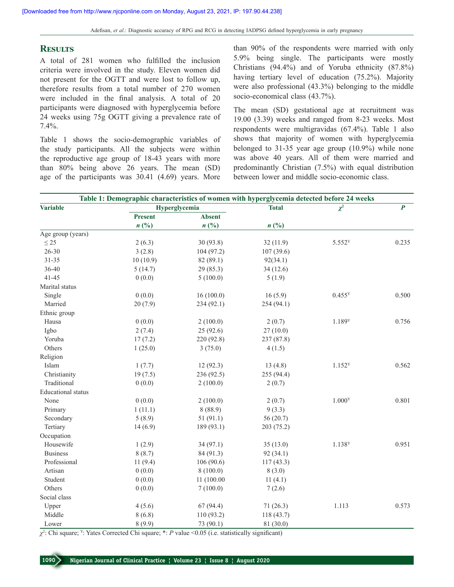#### **Results**

A total of 281 women who fulfilled the inclusion criteria were involved in the study. Eleven women did not present for the OGTT and were lost to follow up, therefore results from a total number of 270 women were included in the final analysis. A total of 20 participants were diagnosed with hyperglycemia before 24 weeks using 75g OGTT giving a prevalence rate of 7.4%.

Table 1 shows the socio-demographic variables of the study participants. All the subjects were within the reproductive age group of 18-43 years with more than 80% being above 26 years. The mean (SD) age of the participants was 30.41 (4.69) years. More

than 90% of the respondents were married with only 5.9% being single. The participants were mostly Christians (94.4%) and of Yoruba ethnicity (87.8%) having tertiary level of education (75.2%). Majority were also professional (43.3%) belonging to the middle socio-economical class (43.7%).

The mean (SD) gestational age at recruitment was 19.00 (3.39) weeks and ranged from 8‑23 weeks. Most respondents were multigravidas (67.4%). Table 1 also shows that majority of women with hyperglycemia belonged to 31‑35 year age group (10.9%) while none was above 40 years. All of them were married and predominantly Christian (7.5%) with equal distribution between lower and middle socio-economic class.

| Table 1: Demographic characteristics of women with hyperglycemia detected before 24 weeks |                |                             |                |                    |                |  |  |  |
|-------------------------------------------------------------------------------------------|----------------|-----------------------------|----------------|--------------------|----------------|--|--|--|
| Variable                                                                                  |                | Hyperglycemia               | <b>Total</b>   | $\chi^2$           | $\overline{P}$ |  |  |  |
|                                                                                           | <b>Present</b> | <b>Absent</b>               |                |                    |                |  |  |  |
|                                                                                           | n(%)           | $n\left(\frac{0}{0}\right)$ | $n(^{0}/_{0})$ |                    |                |  |  |  |
| Age group (years)                                                                         |                |                             |                |                    |                |  |  |  |
| $\leq$ 25                                                                                 | 2(6.3)         | 30(93.8)                    | 32(11.9)       | 5.552 <sup>Y</sup> | 0.235          |  |  |  |
| $26 - 30$                                                                                 | 3(2.8)         | 104 (97.2)                  | 107(39.6)      |                    |                |  |  |  |
| $31 - 35$                                                                                 | 10(10.9)       | 82 (89.1)                   | 92(34.1)       |                    |                |  |  |  |
| 36-40                                                                                     | 5(14.7)        | 29 (85.3)                   | 34(12.6)       |                    |                |  |  |  |
| $41 - 45$                                                                                 | 0(0.0)         | 5(100.0)                    | 5(1.9)         |                    |                |  |  |  |
| Marital status                                                                            |                |                             |                |                    |                |  |  |  |
| Single                                                                                    | 0(0.0)         | 16(100.0)                   | 16(5.9)        | $0.455^{\text{Y}}$ | 0.500          |  |  |  |
| Married                                                                                   | 20(7.9)        | 234 (92.1)                  | 254 (94.1)     |                    |                |  |  |  |
| Ethnic group                                                                              |                |                             |                |                    |                |  |  |  |
| Hausa                                                                                     | 0(0.0)         | 2(100.0)                    | 2(0.7)         | 1.189Y             | 0.756          |  |  |  |
| Igbo                                                                                      | 2(7.4)         | 25(92.6)                    | 27(10.0)       |                    |                |  |  |  |
| Yoruba                                                                                    | 17(7.2)        | 220 (92.8)                  | 237 (87.8)     |                    |                |  |  |  |
| Others                                                                                    | 1(25.0)        | 3(75.0)                     | 4(1.5)         |                    |                |  |  |  |
| Religion                                                                                  |                |                             |                |                    |                |  |  |  |
| Islam                                                                                     | 1(7.7)         | 12(92.3)                    | 13(4.8)        | 1.152 <sup>Y</sup> | 0.562          |  |  |  |
| Christianity                                                                              | 19(7.5)        | 236 (92.5)                  | 255 (94.4)     |                    |                |  |  |  |
| Traditional                                                                               | 0(0.0)         | 2(100.0)                    | 2(0.7)         |                    |                |  |  |  |
| <b>Educational</b> status                                                                 |                |                             |                |                    |                |  |  |  |
| None                                                                                      | 0(0.0)         | 2(100.0)                    | 2(0.7)         | 1.000 <sup>Y</sup> | 0.801          |  |  |  |
| Primary                                                                                   | 1(11.1)        | 8(88.9)                     | 9(3.3)         |                    |                |  |  |  |
| Secondary                                                                                 | 5(8.9)         | 51(91.1)                    | 56(20.7)       |                    |                |  |  |  |
| Tertiary                                                                                  | 14(6.9)        | 189 (93.1)                  | 203 (75.2)     |                    |                |  |  |  |
| Occupation                                                                                |                |                             |                |                    |                |  |  |  |
| Housewife                                                                                 | 1(2.9)         | 34(97.1)                    | 35(13.0)       | 1.138Y             | 0.951          |  |  |  |
| <b>Business</b>                                                                           | 8(8.7)         | 84 (91.3)                   | 92(34.1)       |                    |                |  |  |  |
| Professional                                                                              | 11(9.4)        | 106(90.6)                   | 117(43.3)      |                    |                |  |  |  |
| Artisan                                                                                   | 0(0.0)         | 8(100.0)                    | 8(3.0)         |                    |                |  |  |  |
| Student                                                                                   | 0(0.0)         | 11 (100.00                  | 11(4.1)        |                    |                |  |  |  |
| Others                                                                                    | 0(0.0)         | 7(100.0)                    | 7(2.6)         |                    |                |  |  |  |
| Social class                                                                              |                |                             |                |                    |                |  |  |  |
| Upper                                                                                     | 4(5.6)         | 67(94.4)                    | 71(26.3)       | 1.113              | 0.573          |  |  |  |
| Middle                                                                                    | 8(6.8)         | 110 (93.2)                  | 118 (43.7)     |                    |                |  |  |  |
| Lower                                                                                     | 8(9.9)         | 73 (90.1)                   | 81 (30.0)      |                    |                |  |  |  |

*χ*2 : Chi square; Y: Yates Corrected Chi square; \*: *P* value <0.05 (i.e. statistically significant)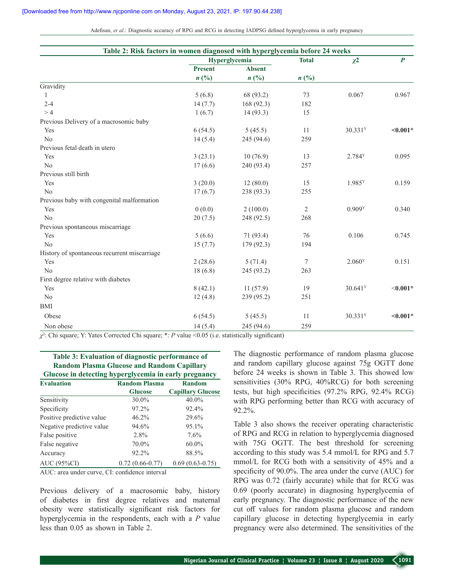Adefisan, *et al*.: Diagnostic accuracy of RPG and RCG in detecting IADPSG defined hyperglycemia in early pregnancy

| Table 2: Risk factors in women diagnosed with hyperglycemia before 24 weeks |                             |                             |              |                       |                  |  |  |  |  |
|-----------------------------------------------------------------------------|-----------------------------|-----------------------------|--------------|-----------------------|------------------|--|--|--|--|
|                                                                             |                             | Hyperglycemia               | <b>Total</b> | $\chi^2$              | $\boldsymbol{P}$ |  |  |  |  |
|                                                                             | <b>Present</b>              | <b>Absent</b>               |              |                       |                  |  |  |  |  |
|                                                                             | $n\left(\frac{0}{0}\right)$ | $n\left(\frac{0}{0}\right)$ | n(%)         |                       |                  |  |  |  |  |
| Gravidity                                                                   |                             |                             |              |                       |                  |  |  |  |  |
| 1                                                                           | 5(6.8)                      | 68 (93.2)                   | 73           | 0.067                 | 0.967            |  |  |  |  |
| $2 - 4$                                                                     | 14(7.7)                     | 168 (92.3)                  | 182          |                       |                  |  |  |  |  |
| >4                                                                          | 1(6.7)                      | 14(93.3)                    | 15           |                       |                  |  |  |  |  |
| Previous Delivery of a macrosomic baby                                      |                             |                             |              |                       |                  |  |  |  |  |
| Yes                                                                         | 6(54.5)                     | 5(45.5)                     | 11           | 30.331 <sup>Y</sup>   | $< 0.001*$       |  |  |  |  |
| N <sub>o</sub>                                                              | 14(5.4)                     | 245 (94.6)                  | 259          |                       |                  |  |  |  |  |
| Previous fetal death in utero                                               |                             |                             |              |                       |                  |  |  |  |  |
| Yes                                                                         | 3(23.1)                     | 10(76.9)                    | 13           | 2.784Y                | 0.095            |  |  |  |  |
| No                                                                          | 17(6.6)                     | 240 (93.4)                  | 257          |                       |                  |  |  |  |  |
| Previous still birth                                                        |                             |                             |              |                       |                  |  |  |  |  |
| Yes                                                                         | 3(20.0)                     | 12(80.0)                    | 15           | 1.985Y                | 0.159            |  |  |  |  |
| No                                                                          | 17(6.7)                     | 238 (93.3)                  | 255          |                       |                  |  |  |  |  |
| Previous baby with congenital malformation                                  |                             |                             |              |                       |                  |  |  |  |  |
| Yes                                                                         | 0(0.0)                      | 2(100.0)                    | $\mathbf{2}$ | 0.909Y                | 0.340            |  |  |  |  |
| N <sub>o</sub>                                                              | 20(7.5)                     | 248 (92.5)                  | 268          |                       |                  |  |  |  |  |
| Previous spontaneous miscarriage                                            |                             |                             |              |                       |                  |  |  |  |  |
| Yes                                                                         | 5(6.6)                      | 71 (93.4)                   | 76           | 0.106                 | 0.745            |  |  |  |  |
| N <sub>o</sub>                                                              | 15(7.7)                     | 179 (92.3)                  | 194          |                       |                  |  |  |  |  |
| History of spontaneous recurrent miscarriage                                |                             |                             |              |                       |                  |  |  |  |  |
| Yes                                                                         | 2(28.6)                     | 5(71.4)                     | 7            | 2.060Y                | 0.151            |  |  |  |  |
| N <sub>o</sub>                                                              | 18(6.8)                     | 245 (93.2)                  | 263          |                       |                  |  |  |  |  |
| First degree relative with diabetes                                         |                             |                             |              |                       |                  |  |  |  |  |
| Yes                                                                         | 8(42.1)                     | 11(57.9)                    | 19           | $30.641$ <sup>Y</sup> | $< 0.001*$       |  |  |  |  |
| N <sub>o</sub>                                                              | 12(4.8)                     | 239 (95.2)                  | 251          |                       |                  |  |  |  |  |
| <b>BMI</b>                                                                  |                             |                             |              |                       |                  |  |  |  |  |
| Obese                                                                       | 6(54.5)                     | 5(45.5)                     | 11           | 30.331 <sup>Y</sup>   | $< 0.001*$       |  |  |  |  |
| Non obese                                                                   | 14(5.4)                     | 245 (94.6)                  | 259          |                       |                  |  |  |  |  |

*χ*2 : Chi square; Y: Yates Corrected Chi square; \*: *P* value <0.05 (i.e. statistically significant)

**Table 3: Evaluation of diagnostic performance of Random Plasma Glucose and Random Capillary Glucose in detecting hyperglycemia in early pregnancy** 

| <b>Evaluation</b>         | <b>Random Plasma</b> | <b>Random</b>            |  |  |
|---------------------------|----------------------|--------------------------|--|--|
|                           | <b>Glucose</b>       | <b>Capillary Glucose</b> |  |  |
| Sensitivity               | 30.0%                | 40.0%                    |  |  |
| Specificity               | 97.2%                | 92.4%                    |  |  |
| Positive predictive value | 46.2%                | 29.6%                    |  |  |
| Negative predictive value | 94.6%                | 95.1%                    |  |  |
| False positive            | 2.8%                 | $7.6\%$                  |  |  |
| False negative            | 70.0%                | $60.0\%$                 |  |  |
| Accuracy                  | 92.2%                | 88.5%                    |  |  |
| AUC (95%CI)               | $0.72(0.66-0.77)$    | $0.69(0.63 - 0.75)$      |  |  |

AUC: area under curve, CI: confidence interval

Previous delivery of a macrosomic baby, history of diabetes in first degree relatives and maternal obesity were statistically significant risk factors for hyperglycemia in the respondents, each with a *P* value less than 0.05 as shown in Table 2.

The diagnostic performance of random plasma glucose and random capillary glucose against 75g OGTT done before 24 weeks is shown in Table 3. This showed low sensitivities (30% RPG, 40%RCG) for both screening tests, but high specificities (97.2% RPG, 92.4% RCG) with RPG performing better than RCG with accuracy of 92.2%.

Table 3 also shows the receiver operating characteristic of RPG and RCG in relation to hyperglycemia diagnosed with 75G OGTT. The best threshold for screening according to this study was 5.4 mmol/L for RPG and 5.7 mmol/L for RCG both with a sensitivity of 45% and a specificity of 90.0%. The area under the curve (AUC) for RPG was 0.72 (fairly accurate) while that for RCG was 0.69 (poorly accurate) in diagnosing hyperglycemia of early pregnancy. The diagnostic performance of the new cut off values for random plasma glucose and random capillary glucose in detecting hyperglycemia in early pregnancy were also determined. The sensitivities of the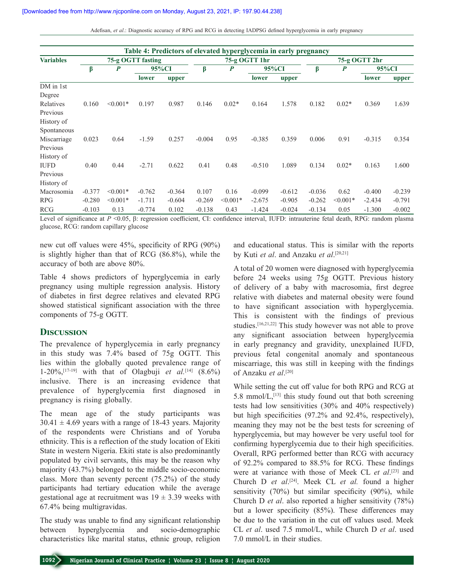| Adefisan, et al.: Diagnostic accuracy of RPG and RCG in detecting IADPSG defined hyperglycemia in early pregnancy |  |
|-------------------------------------------------------------------------------------------------------------------|--|
|                                                                                                                   |  |

| Table 4: Predictors of elevated hyperglycemia in early pregnancy |                   |                  |              |          |               |                  |          |               |          |            |          |          |
|------------------------------------------------------------------|-------------------|------------------|--------------|----------|---------------|------------------|----------|---------------|----------|------------|----------|----------|
| <b>Variables</b>                                                 | 75-g OGTT fasting |                  |              |          | 75-g OGTT 1hr |                  |          | 75-g OGTT 2hr |          |            |          |          |
|                                                                  | β                 | $\boldsymbol{P}$ | 95%CI        |          | β             | $\boldsymbol{P}$ | 95%CI    |               | β        | P          | 95%CI    |          |
|                                                                  |                   |                  | <b>lower</b> | upper    |               |                  | lower    | upper         |          |            | lower    | upper    |
| DM in 1st                                                        |                   |                  |              |          |               |                  |          |               |          |            |          |          |
| Degree                                                           |                   |                  |              |          |               |                  |          |               |          |            |          |          |
| Relatives                                                        | 0.160             | $\leq 0.001*$    | 0.197        | 0.987    | 0.146         | $0.02*$          | 0.164    | 1.578         | 0.182    | $0.02*$    | 0.369    | 1.639    |
| Previous                                                         |                   |                  |              |          |               |                  |          |               |          |            |          |          |
| History of                                                       |                   |                  |              |          |               |                  |          |               |          |            |          |          |
| Spontaneous                                                      |                   |                  |              |          |               |                  |          |               |          |            |          |          |
| Miscarriage                                                      | 0.023             | 0.64             | $-1.59$      | 0.257    | $-0.004$      | 0.95             | $-0.385$ | 0.359         | 0.006    | 0.91       | $-0.315$ | 0.354    |
| Previous                                                         |                   |                  |              |          |               |                  |          |               |          |            |          |          |
| History of                                                       |                   |                  |              |          |               |                  |          |               |          |            |          |          |
| <b>IUFD</b>                                                      | 0.40              | 0.44             | $-2.71$      | 0.622    | 0.41          | 0.48             | $-0.510$ | 1.089         | 0.134    | $0.02*$    | 0.163    | 1.600    |
| Previous                                                         |                   |                  |              |          |               |                  |          |               |          |            |          |          |
| History of                                                       |                   |                  |              |          |               |                  |          |               |          |            |          |          |
| Macrosomia                                                       | $-0.377$          | $< 0.001*$       | $-0.762$     | $-0.364$ | 0.107         | 0.16             | $-0.099$ | $-0.612$      | $-0.036$ | 0.62       | $-0.400$ | $-0.239$ |
| <b>RPG</b>                                                       | $-0.280$          | $\leq 0.001*$    | $-1.711$     | $-0.604$ | $-0.269$      | $\leq 0.001*$    | $-2.675$ | $-0.905$      | $-0.262$ | $< 0.001*$ | $-2.434$ | $-0.791$ |
| <b>RCG</b>                                                       | $-0.103$          | 0.13             | $-0.774$     | 0.102    | $-0.138$      | 0.43             | $-1.424$ | $-0.024$      | $-0.134$ | 0.05       | $-1.300$ | $-0.002$ |

Level of significance at *P* <0.05, β: regression coefficient, CI: confidence interval, IUFD: intrauterine fetal death, RPG: random plasma glucose, RCG: random capillary glucose

new cut off values were 45%, specificity of RPG (90%) is slightly higher than that of RCG (86.8%), while the accuracy of both are above 80%.

Table 4 shows predictors of hyperglycemia in early pregnancy using multiple regression analysis. History of diabetes in first degree relatives and elevated RPG showed statistical significant association with the three components of 75‑g OGTT.

#### **Discussion**

The prevalence of hyperglycemia in early pregnancy in this study was 7.4% based of 75g OGTT. This lies within the globally quoted prevalence range of 1‑20%,[17‑19] with that of Olagbuji *et al.*[14] (8.6%) inclusive. There is an increasing evidence that prevalence of hyperglycemia first diagnosed in pregnancy is rising globally.

The mean age of the study participants was  $30.41 \pm 4.69$  years with a range of 18-43 years. Majority of the respondents were Christians and of Yoruba ethnicity. This is a reflection of the study location of Ekiti State in western Nigeria. Ekiti state is also predominantly populated by civil servants, this may be the reason why majority (43.7%) belonged to the middle socio‑economic class. More than seventy percent (75.2%) of the study participants had tertiary education while the average gestational age at recruitment was  $19 \pm 3.39$  weeks with 67.4% being multigravidas.

The study was unable to find any significant relationship between hyperglycemia and socio-demographic characteristics like marital status, ethnic group, religion and educational status. This is similar with the reports by Kuti *et al*. and Anzaku *et al*. [20,21]

A total of 20 women were diagnosed with hyperglycemia before 24 weeks using 75g OGTT. Previous history of delivery of a baby with macrosomia, first degree relative with diabetes and maternal obesity were found to have significant association with hyperglycemia. This is consistent with the findings of previous studies.[16,21,22] This study however was not able to prove any significant association between hyperglycemia in early pregnancy and gravidity, unexplained IUFD, previous fetal congenital anomaly and spontaneous miscarriage, this was still in keeping with the findings of Anzaku *et al*. [20]

While setting the cut off value for both RPG and RCG at 5.8 mmol/ $L$ ,  $[13]$  this study found out that both screening tests had low sensitivities (30% and 40% respectively) but high specificities (97.2% and 92.4%, respectively), meaning they may not be the best tests for screening of hyperglycemia, but may however be very useful tool for confirming hyperglycemia due to their high specificities. Overall, RPG performed better than RCG with accuracy of 92.2% compared to 88.5% for RCG. These findings were at variance with those of Meek CL *et al*. [23] and Church D *et al*. [24]. Meek CL *et al.* found a higher sensitivity (70%) but similar specificity (90%), while Church D *et al*. also reported a higher sensitivity (78%) but a lower specificity (85%). These differences may be due to the variation in the cut off values used. Meek CL *et al*. used 7.5 mmol/L, while Church D *et al*. used 7.0 mmol/L in their studies.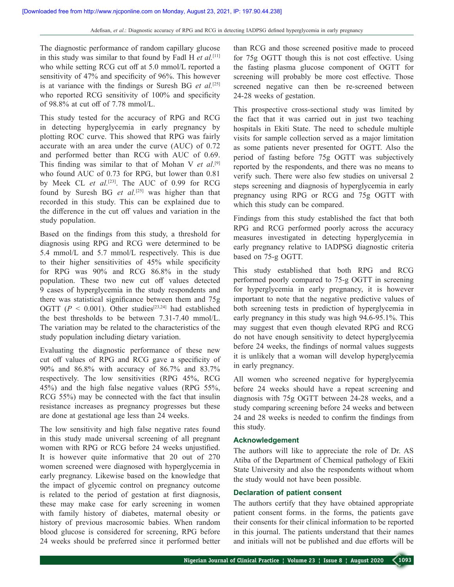The diagnostic performance of random capillary glucose in this study was similar to that found by Fadl H *et al.*[11] who while setting RCG cut off at 5.0 mmol/L reported a sensitivity of 47% and specificity of 96%. This however is at variance with the findings or Suresh BG *et al.*[25] who reported RCG sensitivity of 100% and specificity of 98.8% at cut off of 7.78 mmol/L.

This study tested for the accuracy of RPG and RCG in detecting hyperglycemia in early pregnancy by plotting ROC curve. This showed that RPG was fairly accurate with an area under the curve (AUC) of 0.72 and performed better than RCG with AUC of 0.69. This finding was similar to that of Mohan V *et al*. [9] who found AUC of 0.73 for RPG, but lower than 0.81 by Meek CL *et al.*[23]. The AUC of 0.99 for RCG found by Suresh BG *et al.*[25] was higher than that recorded in this study. This can be explained due to the difference in the cut off values and variation in the study population.

Based on the findings from this study, a threshold for diagnosis using RPG and RCG were determined to be 5.4 mmol/L and 5.7 mmol/L respectively. This is due to their higher sensitivities of 45% while specificity for RPG was 90% and RCG 86.8% in the study population. These two new cut off values detected 9 cases of hyperglycemia in the study respondents and there was statistical significance between them and 75g OGTT ( $P < 0.001$ ). Other studies<sup>[23,24]</sup> had established the best thresholds to be between 7.31‑7.40 mmol/L. The variation may be related to the characteristics of the study population including dietary variation.

Evaluating the diagnostic performance of these new cut off values of RPG and RCG gave a specificity of 90% and 86.8% with accuracy of 86.7% and 83.7% respectively. The low sensitivities (RPG 45%, RCG 45%) and the high false negative values (RPG 55%, RCG 55%) may be connected with the fact that insulin resistance increases as pregnancy progresses but these are done at gestational age less than 24 weeks.

The low sensitivity and high false negative rates found in this study made universal screening of all pregnant women with RPG or RCG before 24 weeks unjustified. It is however quite informative that 20 out of 270 women screened were diagnosed with hyperglycemia in early pregnancy. Likewise based on the knowledge that the impact of glycemic control on pregnancy outcome is related to the period of gestation at first diagnosis, these may make case for early screening in women with family history of diabetes, maternal obesity or history of previous macrosomic babies. When random blood glucose is considered for screening, RPG before 24 weeks should be preferred since it performed better

than RCG and those screened positive made to proceed for 75g OGTT though this is not cost effective. Using the fasting plasma glucose component of OGTT for screening will probably be more cost effective. Those screened negative can then be re-screened between 24‑28 weeks of gestation.

This prospective cross-sectional study was limited by the fact that it was carried out in just two teaching hospitals in Ekiti State. The need to schedule multiple visits for sample collection served as a major limitation as some patients never presented for OGTT. Also the period of fasting before 75g OGTT was subjectively reported by the respondents, and there was no means to verify such. There were also few studies on universal 2 steps screening and diagnosis of hyperglycemia in early pregnancy using RPG or RCG and 75g OGTT with which this study can be compared.

Findings from this study established the fact that both RPG and RCG performed poorly across the accuracy measures investigated in detecting hyperglycemia in early pregnancy relative to IADPSG diagnostic criteria based on 75‑g OGTT.

This study established that both RPG and RCG performed poorly compared to 75‑g OGTT in screening for hyperglycemia in early pregnancy, it is however important to note that the negative predictive values of both screening tests in prediction of hyperglycemia in early pregnancy in this study was high 94.6‑95.1%. This may suggest that even though elevated RPG and RCG do not have enough sensitivity to detect hyperglycemia before 24 weeks, the findings of normal values suggests it is unlikely that a woman will develop hyperglycemia in early pregnancy.

All women who screened negative for hyperglycemia before 24 weeks should have a repeat screening and diagnosis with 75g OGTT between 24‑28 weeks, and a study comparing screening before 24 weeks and between 24 and 28 weeks is needed to confirm the findings from this study.

#### **Acknowledgement**

The authors will like to appreciate the role of Dr. AS Atiba of the Department of Chemical pathology of Ekiti State University and also the respondents without whom the study would not have been possible.

#### **Declaration of patient consent**

The authors certify that they have obtained appropriate patient consent forms. in the forms, the patients gave their consents for their clinical information to be reported in this journal. The patients understand that their names and initials will not be published and due efforts will be